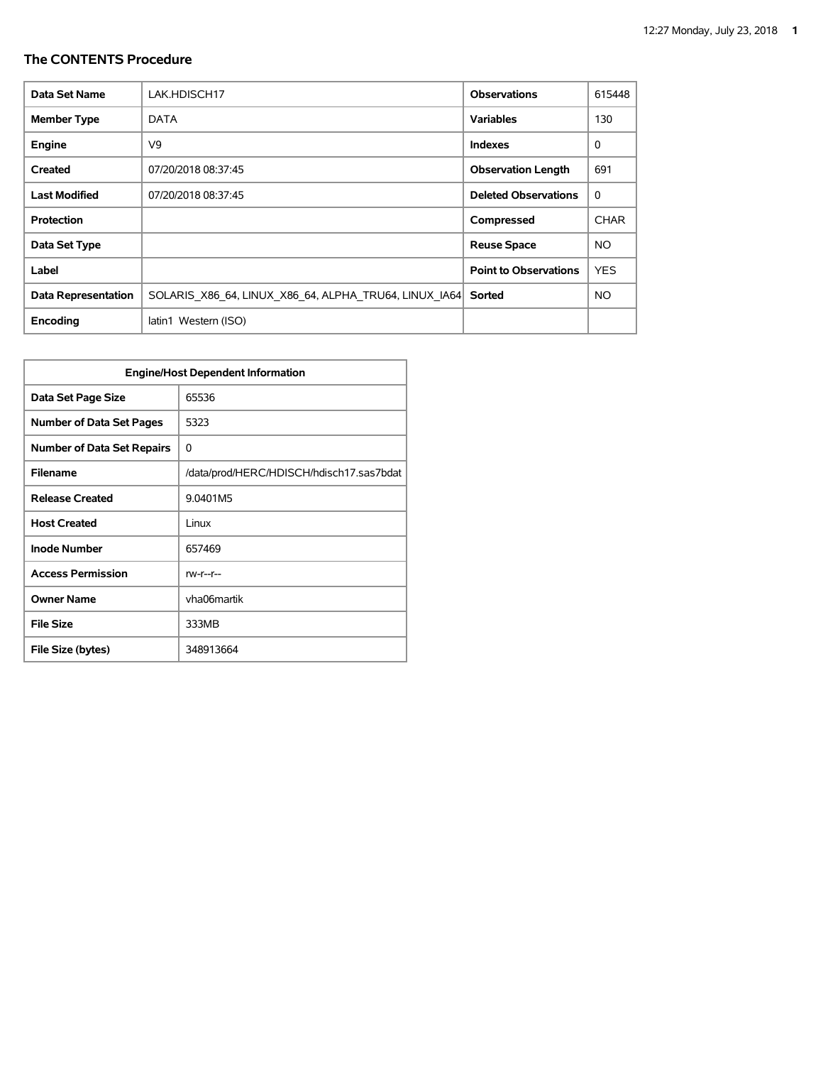| Data Set Name              | LAK.HDISCH17                                          | <b>Observations</b>          | 615448      |
|----------------------------|-------------------------------------------------------|------------------------------|-------------|
| <b>Member Type</b>         | DATA                                                  | <b>Variables</b>             | 130         |
| Engine                     | V9                                                    | <b>Indexes</b>               | $\Omega$    |
| Created                    | 07/20/2018 08:37:45                                   | <b>Observation Length</b>    | 691         |
| <b>Last Modified</b>       | 07/20/2018 08:37:45                                   | <b>Deleted Observations</b>  | 0           |
| <b>Protection</b>          |                                                       | Compressed                   | <b>CHAR</b> |
| Data Set Type              |                                                       | <b>Reuse Space</b>           | NO.         |
| Label                      |                                                       | <b>Point to Observations</b> | <b>YES</b>  |
| <b>Data Representation</b> | SOLARIS X86 64, LINUX X86 64, ALPHA TRU64, LINUX IA64 | Sorted                       | <b>NO</b>   |
| Encoding                   | latin1 Western (ISO)                                  |                              |             |

| <b>Engine/Host Dependent Information</b> |                                          |  |  |  |  |
|------------------------------------------|------------------------------------------|--|--|--|--|
| Data Set Page Size                       | 65536                                    |  |  |  |  |
| <b>Number of Data Set Pages</b>          | 5323                                     |  |  |  |  |
| <b>Number of Data Set Repairs</b>        | 0                                        |  |  |  |  |
| <b>Filename</b>                          | /data/prod/HERC/HDISCH/hdisch17.sas7bdat |  |  |  |  |
| <b>Release Created</b>                   | 9.0401M5                                 |  |  |  |  |
| <b>Host Created</b>                      | Linux                                    |  |  |  |  |
| <b>Inode Number</b>                      | 657469                                   |  |  |  |  |
| <b>Access Permission</b>                 | $rw-r-r-$                                |  |  |  |  |
| <b>Owner Name</b>                        | vha06martik                              |  |  |  |  |
| <b>File Size</b>                         | 333MB                                    |  |  |  |  |
| File Size (bytes)                        | 348913664                                |  |  |  |  |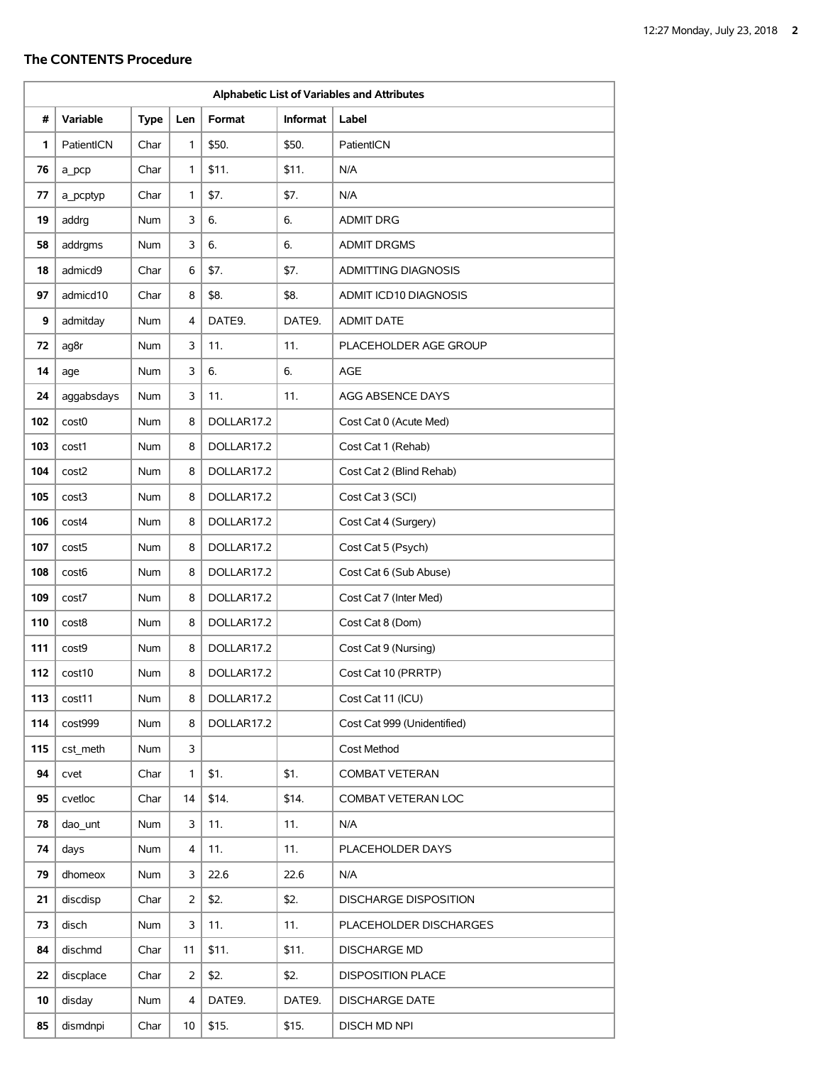|     | Alphabetic List of Variables and Attributes |             |     |            |          |                              |  |  |
|-----|---------------------------------------------|-------------|-----|------------|----------|------------------------------|--|--|
| #   | Variable                                    | <b>Type</b> | Len | Format     | Informat | Label                        |  |  |
| 1   | PatientICN                                  | Char        | 1   | \$50.      | \$50.    | PatientICN                   |  |  |
| 76  | a pcp                                       | Char        | 1   | \$11.      | \$11.    | N/A                          |  |  |
| 77  | a pcptyp                                    | Char        | 1   | \$7.       | \$7.     | N/A                          |  |  |
| 19  | addrg                                       | Num         | 3   | 6.         | 6.       | <b>ADMIT DRG</b>             |  |  |
| 58  | addrgms                                     | <b>Num</b>  | 3   | 6.         | 6.       | <b>ADMIT DRGMS</b>           |  |  |
| 18  | admicd9                                     | Char        | 6   | \$7.       | \$7.     | <b>ADMITTING DIAGNOSIS</b>   |  |  |
| 97  | admicd10                                    | Char        | 8   | \$8.       | \$8.     | ADMIT ICD10 DIAGNOSIS        |  |  |
| 9   | admitday                                    | Num         | 4   | DATE9.     | DATE9.   | <b>ADMIT DATE</b>            |  |  |
| 72  | ag8r                                        | Num         | 3   | 11.        | 11.      | PLACEHOLDER AGE GROUP        |  |  |
| 14  | age                                         | Num         | 3   | 6.         | 6.       | AGE                          |  |  |
| 24  | aggabsdays                                  | Num         | 3   | 11.        | 11.      | AGG ABSENCE DAYS             |  |  |
| 102 | cost <sub>0</sub>                           | Num         | 8   | DOLLAR17.2 |          | Cost Cat 0 (Acute Med)       |  |  |
| 103 | cost1                                       | Num         | 8   | DOLLAR17.2 |          | Cost Cat 1 (Rehab)           |  |  |
| 104 | cost2                                       | Num         | 8   | DOLLAR17.2 |          | Cost Cat 2 (Blind Rehab)     |  |  |
| 105 | cost3                                       | Num         | 8   | DOLLAR17.2 |          | Cost Cat 3 (SCI)             |  |  |
| 106 | cost4                                       | Num         | 8   | DOLLAR17.2 |          | Cost Cat 4 (Surgery)         |  |  |
| 107 | cost <sub>5</sub>                           | <b>Num</b>  | 8   | DOLLAR17.2 |          | Cost Cat 5 (Psych)           |  |  |
| 108 | cost <sub>6</sub>                           | Num         | 8   | DOLLAR17.2 |          | Cost Cat 6 (Sub Abuse)       |  |  |
| 109 | cost7                                       | <b>Num</b>  | 8   | DOLLAR17.2 |          | Cost Cat 7 (Inter Med)       |  |  |
| 110 | cost8                                       | Num         | 8   | DOLLAR17.2 |          | Cost Cat 8 (Dom)             |  |  |
| 111 | cost9                                       | Num         | 8   | DOLLAR17.2 |          | Cost Cat 9 (Nursing)         |  |  |
| 112 | cost10                                      | Num         | 8   | DOLLAR17.2 |          | Cost Cat 10 (PRRTP)          |  |  |
| 113 | cost11                                      | Num         | 8   | DOLLAR17.2 |          | Cost Cat 11 (ICU)            |  |  |
| 114 | cost999                                     | Num         | 8   | DOLLAR17.2 |          | Cost Cat 999 (Unidentified)  |  |  |
| 115 | cst meth                                    | Num         | 3   |            |          | Cost Method                  |  |  |
| 94  | cvet                                        | Char        | 1   | \$1.       | \$1.     | <b>COMBAT VETERAN</b>        |  |  |
| 95  | cvetloc                                     | Char        | 14  | \$14.      | \$14.    | COMBAT VETERAN LOC           |  |  |
| 78  | dao unt                                     | Num         | 3   | 11.        | 11.      | N/A                          |  |  |
| 74  | days                                        | Num         | 4   | 11.        | 11.      | PLACEHOLDER DAYS             |  |  |
| 79  | dhomeox                                     | Num         | 3   | 22.6       | 22.6     | N/A                          |  |  |
| 21  | discdisp                                    | Char        | 2   | \$2.       | \$2.     | <b>DISCHARGE DISPOSITION</b> |  |  |
| 73  | disch                                       | Num         | 3   | 11.        | 11.      | PLACEHOLDER DISCHARGES       |  |  |
| 84  | dischmd                                     | Char        | 11  | \$11.      | \$11.    | <b>DISCHARGE MD</b>          |  |  |
| 22  | discplace                                   | Char        | 2   | \$2.       | \$2.     | <b>DISPOSITION PLACE</b>     |  |  |
| 10  | disday                                      | Num         | 4   | DATE9.     | DATE9.   | <b>DISCHARGE DATE</b>        |  |  |
| 85  | dismdnpi                                    | Char        | 10  | \$15.      | \$15.    | DISCH MD NPI                 |  |  |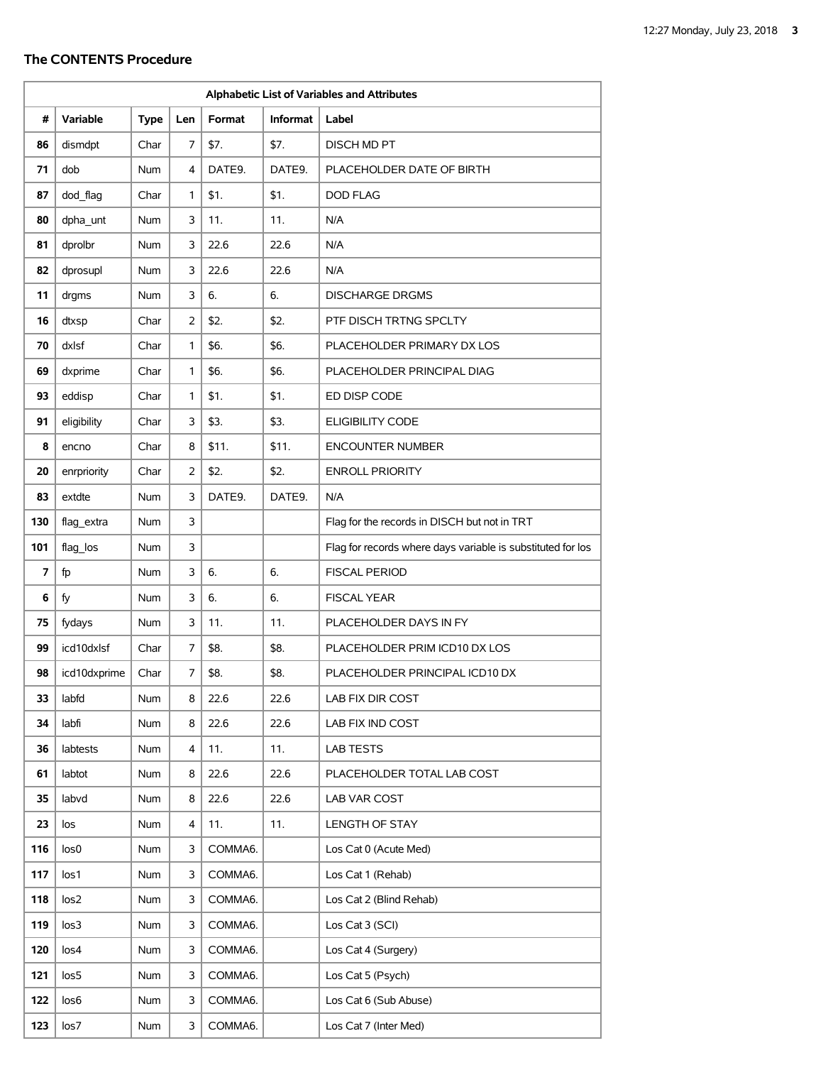|     | Alphabetic List of Variables and Attributes |             |     |         |          |                                                             |  |
|-----|---------------------------------------------|-------------|-----|---------|----------|-------------------------------------------------------------|--|
| #   | Variable                                    | <b>Type</b> | Len | Format  | Informat | Label                                                       |  |
| 86  | dismdpt                                     | Char        | 7   | \$7.    | \$7.     | DISCH MD PT                                                 |  |
| 71  | dob                                         | Num         | 4   | DATE9.  | DATE9.   | PLACEHOLDER DATE OF BIRTH                                   |  |
| 87  | dod_flag                                    | Char        | 1   | \$1.    | \$1.     | <b>DOD FLAG</b>                                             |  |
| 80  | dpha_unt                                    | Num         | 3   | 11.     | 11.      | N/A                                                         |  |
| 81  | dprolbr                                     | Num         | 3   | 22.6    | 22.6     | N/A                                                         |  |
| 82  | dprosupl                                    | Num         | 3   | 22.6    | 22.6     | N/A                                                         |  |
| 11  | drgms                                       | <b>Num</b>  | 3   | 6.      | 6.       | <b>DISCHARGE DRGMS</b>                                      |  |
| 16  | dtxsp                                       | Char        | 2   | \$2.    | \$2.     | PTF DISCH TRTNG SPCLTY                                      |  |
| 70  | dxlsf                                       | Char        | 1   | \$6.    | \$6.     | PLACEHOLDER PRIMARY DX LOS                                  |  |
| 69  | dxprime                                     | Char        | 1   | \$6.    | \$6.     | PLACEHOLDER PRINCIPAL DIAG                                  |  |
| 93  | eddisp                                      | Char        | 1   | \$1.    | \$1.     | ED DISP CODE                                                |  |
| 91  | eligibility                                 | Char        | 3   | \$3.    | \$3.     | <b>ELIGIBILITY CODE</b>                                     |  |
| 8   | encno                                       | Char        | 8   | \$11.   | \$11.    | <b>ENCOUNTER NUMBER</b>                                     |  |
| 20  | enrpriority                                 | Char        | 2   | \$2.    | \$2.     | <b>ENROLL PRIORITY</b>                                      |  |
| 83  | extdte                                      | Num         | 3   | DATE9.  | DATE9.   | N/A                                                         |  |
| 130 | flag_extra                                  | Num         | 3   |         |          | Flag for the records in DISCH but not in TRT                |  |
| 101 | flag_los                                    | Num         | 3   |         |          | Flag for records where days variable is substituted for los |  |
| 7   | fp                                          | Num         | 3   | 6.      | 6.       | <b>FISCAL PERIOD</b>                                        |  |
| 6   | fy                                          | Num         | 3   | 6.      | 6.       | <b>FISCAL YEAR</b>                                          |  |
| 75  | fydays                                      | Num         | 3   | 11.     | 11.      | PLACEHOLDER DAYS IN FY                                      |  |
| 99  | icd10dxlsf                                  | Char        | 7   | \$8.    | \$8.     | PLACEHOLDER PRIM ICD10 DX LOS                               |  |
| 98  | icd10dxprime                                | Char        | 7   | \$8.    | \$8.     | PLACEHOLDER PRINCIPAL ICD10 DX                              |  |
| 33  | labfd                                       | Num         | 8   | 22.6    | 22.6     | LAB FIX DIR COST                                            |  |
| 34  | labfi                                       | Num         | 8   | 22.6    | 22.6     | LAB FIX IND COST                                            |  |
| 36  | labtests                                    | Num         | 4   | 11.     | 11.      | LAB TESTS                                                   |  |
| 61  | labtot                                      | Num         | 8   | 22.6    | 22.6     | PLACEHOLDER TOTAL LAB COST                                  |  |
| 35  | labvd                                       | Num         | 8   | 22.6    | 22.6     | LAB VAR COST                                                |  |
| 23  | los                                         | Num         | 4   | 11.     | 11.      | LENGTH OF STAY                                              |  |
| 116 | los <sub>0</sub>                            | Num         | 3   | COMMA6. |          | Los Cat 0 (Acute Med)                                       |  |
| 117 | los <sub>1</sub>                            | Num         | 3   | COMMA6. |          | Los Cat 1 (Rehab)                                           |  |
| 118 | los <sub>2</sub>                            | Num         | 3   | COMMA6. |          | Los Cat 2 (Blind Rehab)                                     |  |
| 119 | los <sub>3</sub>                            | Num         | 3   | COMMA6. |          | Los Cat 3 (SCI)                                             |  |
| 120 | los <sub>4</sub>                            | Num         | 3   | COMMA6. |          | Los Cat 4 (Surgery)                                         |  |
| 121 | los5                                        | Num         | 3   | COMMA6. |          | Los Cat 5 (Psych)                                           |  |
| 122 | los6                                        | Num         | 3   | COMMA6. |          | Los Cat 6 (Sub Abuse)                                       |  |
| 123 | los7                                        | Num         | 3   | COMMA6. |          | Los Cat 7 (Inter Med)                                       |  |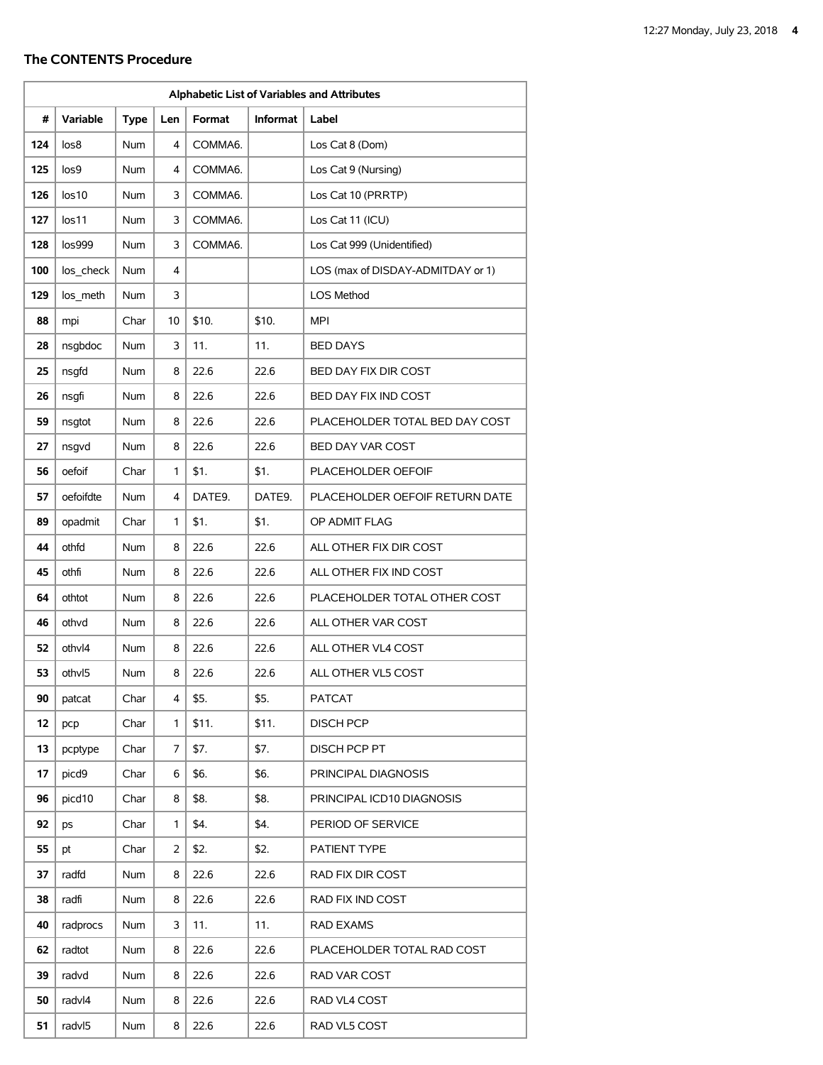| Alphabetic List of Variables and Attributes |           |             |     |         |                 |                                   |  |
|---------------------------------------------|-----------|-------------|-----|---------|-----------------|-----------------------------------|--|
| #                                           | Variable  | <b>Type</b> | Len | Format  | <b>Informat</b> | Label                             |  |
| 124                                         | los8      | <b>Num</b>  | 4   | COMMA6. |                 | Los Cat 8 (Dom)                   |  |
| 125                                         | los9      | Num         | 4   | COMMA6. |                 | Los Cat 9 (Nursing)               |  |
| 126                                         | los10     | <b>Num</b>  | 3   | COMMA6. |                 | Los Cat 10 (PRRTP)                |  |
| 127                                         | los11     | Num         | 3   | COMMA6. |                 | Los Cat 11 (ICU)                  |  |
| 128                                         | los999    | <b>Num</b>  | 3   | COMMA6. |                 | Los Cat 999 (Unidentified)        |  |
| 100                                         | los_check | Num         | 4   |         |                 | LOS (max of DISDAY-ADMITDAY or 1) |  |
| 129                                         | los meth  | <b>Num</b>  | 3   |         |                 | LOS Method                        |  |
| 88                                          | mpi       | Char        | 10  | \$10.   | \$10.           | <b>MPI</b>                        |  |
| 28                                          | nsgbdoc   | Num         | 3   | 11.     | 11.             | <b>BED DAYS</b>                   |  |
| 25                                          | nsqfd     | Num         | 8   | 22.6    | 22.6            | BED DAY FIX DIR COST              |  |
| 26                                          | nsqfi     | <b>Num</b>  | 8   | 22.6    | 22.6            | BED DAY FIX IND COST              |  |
| 59                                          | nsqtot    | Num         | 8   | 22.6    | 22.6            | PLACEHOLDER TOTAL BED DAY COST    |  |
| 27                                          | nsqvd     | Num         | 8   | 22.6    | 22.6            | BED DAY VAR COST                  |  |
| 56                                          | oefoif    | Char        | 1   | \$1.    | \$1.            | PLACEHOLDER OEFOIF                |  |
| 57                                          | oefoifdte | <b>Num</b>  | 4   | DATE9.  | DATE9.          | PLACEHOLDER OEFOIF RETURN DATE    |  |
| 89                                          | opadmit   | Char        | 1   | \$1.    | \$1.            | OP ADMIT FLAG                     |  |
| 44                                          | othfd     | Num         | 8   | 22.6    | 22.6            | ALL OTHER FIX DIR COST            |  |
| 45                                          | othfi     | Num         | 8   | 22.6    | 22.6            | ALL OTHER FIX IND COST            |  |
| 64                                          | othtot    | Num         | 8   | 22.6    | 22.6            | PLACEHOLDER TOTAL OTHER COST      |  |
| 46                                          | othvd     | Num         | 8   | 22.6    | 22.6            | ALL OTHER VAR COST                |  |
| 52                                          | othvl4    | Num         | 8   | 22.6    | 22.6            | ALL OTHER VL4 COST                |  |
| 53                                          | othvI5    | Num         | 8   | 22.6    | 22.6            | ALL OTHER VL5 COST                |  |
| 90                                          | patcat    | Char        | 4   | \$5.    | \$5.            | PATCAT                            |  |
| 12                                          | pcp       | Char        | 1   | \$11.   | \$11.           | <b>DISCH PCP</b>                  |  |
| 13                                          | pcptype   | Char        | 7   | \$7.    | \$7.            | DISCH PCP PT                      |  |
| 17                                          | picd9     | Char        | 6   | \$6.    | \$6.            | PRINCIPAL DIAGNOSIS               |  |
| 96                                          | picd10    | Char        | 8   | \$8.    | \$8.            | PRINCIPAL ICD10 DIAGNOSIS         |  |
| 92                                          | ps        | Char        | 1   | \$4.    | \$4.            | PERIOD OF SERVICE                 |  |
| 55                                          | pt        | Char        | 2   | \$2.    | \$2.            | PATIENT TYPE                      |  |
| 37                                          | radfd     | Num         | 8   | 22.6    | 22.6            | RAD FIX DIR COST                  |  |
| 38                                          | radfi     | Num         | 8   | 22.6    | 22.6            | RAD FIX IND COST                  |  |
| 40                                          | radprocs  | Num         | 3   | 11.     | 11.             | RAD EXAMS                         |  |
| 62                                          | radtot    | Num         | 8   | 22.6    | 22.6            | PLACEHOLDER TOTAL RAD COST        |  |
| 39                                          | radvd     | Num         | 8   | 22.6    | 22.6            | RAD VAR COST                      |  |
| 50                                          | radvl4    | Num         | 8   | 22.6    | 22.6            | RAD VL4 COST                      |  |
| 51                                          | radvl5    | Num         | 8   | 22.6    | 22.6            | RAD VL5 COST                      |  |